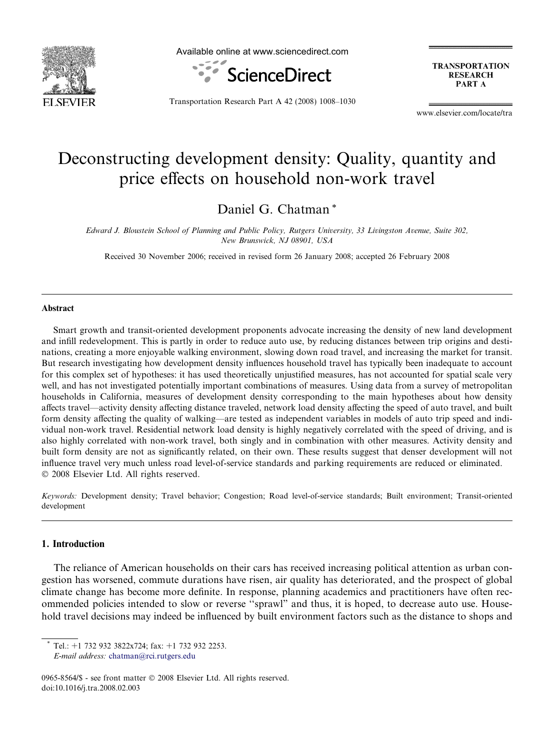

Available online at www.sciencedirect.com



**TRANSPORTATION RESEARCH** PART A

Transportation Research Part A 42 (2008) 1008–1030

www.elsevier.com/locate/tra

## Deconstructing development density: Quality, quantity and price effects on household non-work travel

Daniel G. Chatman \*

Edward J. Bloustein School of Planning and Public Policy, Rutgers University, 33 Livingston Avenue, Suite 302, New Brunswick, NJ 08901, USA

Received 30 November 2006; received in revised form 26 January 2008; accepted 26 February 2008

## Abstract

Smart growth and transit-oriented development proponents advocate increasing the density of new land development and infill redevelopment. This is partly in order to reduce auto use, by reducing distances between trip origins and destinations, creating a more enjoyable walking environment, slowing down road travel, and increasing the market for transit. But research investigating how development density influences household travel has typically been inadequate to account for this complex set of hypotheses: it has used theoretically unjustified measures, has not accounted for spatial scale very well, and has not investigated potentially important combinations of measures. Using data from a survey of metropolitan households in California, measures of development density corresponding to the main hypotheses about how density affects travel—activity density affecting distance traveled, network load density affecting the speed of auto travel, and built form density affecting the quality of walking—are tested as independent variables in models of auto trip speed and individual non-work travel. Residential network load density is highly negatively correlated with the speed of driving, and is also highly correlated with non-work travel, both singly and in combination with other measures. Activity density and built form density are not as significantly related, on their own. These results suggest that denser development will not influence travel very much unless road level-of-service standards and parking requirements are reduced or eliminated.  $© 2008 Elsevier Ltd. All rights reserved.$ 

Keywords: Development density; Travel behavior; Congestion; Road level-of-service standards; Built environment; Transit-oriented development

## 1. Introduction

The reliance of American households on their cars has received increasing political attention as urban congestion has worsened, commute durations have risen, air quality has deteriorated, and the prospect of global climate change has become more definite. In response, planning academics and practitioners have often recommended policies intended to slow or reverse ''sprawl" and thus, it is hoped, to decrease auto use. Household travel decisions may indeed be influenced by built environment factors such as the distance to shops and

Tel.: +1 732 932 3822x724; fax: +1 732 932 2253.

E-mail address: [chatman@rci.rutgers.edu](mailto:chatman@rci.rutgers.edu)

<sup>0965-8564/\$ -</sup> see front matter © 2008 Elsevier Ltd. All rights reserved. doi:10.1016/j.tra.2008.02.003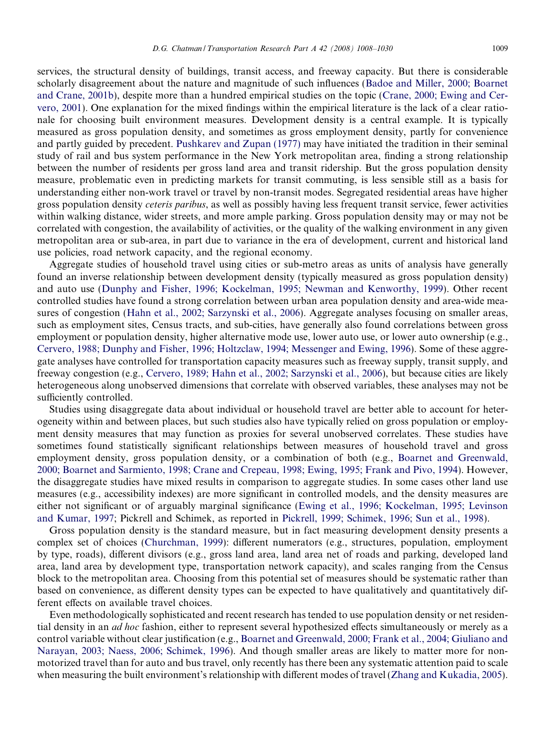services, the structural density of buildings, transit access, and freeway capacity. But there is considerable scholarly disagreement about the nature and magnitude of such influences ([Badoe and Miller, 2000; Boarnet](#page--1-0) [and Crane, 2001b\)](#page--1-0), despite more than a hundred empirical studies on the topic ([Crane, 2000; Ewing and Cer](#page--1-0)[vero, 2001](#page--1-0)). One explanation for the mixed findings within the empirical literature is the lack of a clear rationale for choosing built environment measures. Development density is a central example. It is typically measured as gross population density, and sometimes as gross employment density, partly for convenience and partly guided by precedent. [Pushkarev and Zupan \(1977\)](#page--1-0) may have initiated the tradition in their seminal study of rail and bus system performance in the New York metropolitan area, finding a strong relationship between the number of residents per gross land area and transit ridership. But the gross population density measure, problematic even in predicting markets for transit commuting, is less sensible still as a basis for understanding either non-work travel or travel by non-transit modes. Segregated residential areas have higher gross population density ceteris paribus, as well as possibly having less frequent transit service, fewer activities within walking distance, wider streets, and more ample parking. Gross population density may or may not be correlated with congestion, the availability of activities, or the quality of the walking environment in any given metropolitan area or sub-area, in part due to variance in the era of development, current and historical land use policies, road network capacity, and the regional economy.

Aggregate studies of household travel using cities or sub-metro areas as units of analysis have generally found an inverse relationship between development density (typically measured as gross population density) and auto use ([Dunphy and Fisher, 1996; Kockelman, 1995; Newman and Kenworthy, 1999\)](#page--1-0). Other recent controlled studies have found a strong correlation between urban area population density and area-wide measures of congestion ([Hahn et al., 2002; Sarzynski et al., 2006](#page--1-0)). Aggregate analyses focusing on smaller areas, such as employment sites, Census tracts, and sub-cities, have generally also found correlations between gross employment or population density, higher alternative mode use, lower auto use, or lower auto ownership (e.g., [Cervero, 1988; Dunphy and Fisher, 1996; Holtzclaw, 1994; Messenger and Ewing, 1996\)](#page--1-0). Some of these aggregate analyses have controlled for transportation capacity measures such as freeway supply, transit supply, and freeway congestion (e.g., [Cervero, 1989; Hahn et al., 2002; Sarzynski et al., 2006\)](#page--1-0), but because cities are likely heterogeneous along unobserved dimensions that correlate with observed variables, these analyses may not be sufficiently controlled.

Studies using disaggregate data about individual or household travel are better able to account for heterogeneity within and between places, but such studies also have typically relied on gross population or employment density measures that may function as proxies for several unobserved correlates. These studies have sometimes found statistically significant relationships between measures of household travel and gross employment density, gross population density, or a combination of both (e.g., [Boarnet and Greenwald,](#page--1-0) [2000; Boarnet and Sarmiento, 1998; Crane and Crepeau, 1998; Ewing, 1995; Frank and Pivo, 1994](#page--1-0)). However, the disaggregate studies have mixed results in comparison to aggregate studies. In some cases other land use measures (e.g., accessibility indexes) are more significant in controlled models, and the density measures are either not significant or of arguably marginal significance ([Ewing et al., 1996; Kockelman, 1995; Levinson](#page--1-0) [and Kumar, 1997;](#page--1-0) Pickrell and Schimek, as reported in [Pickrell, 1999; Schimek, 1996; Sun et al., 1998](#page--1-0)).

Gross population density is the standard measure, but in fact measuring development density presents a complex set of choices [\(Churchman, 1999\)](#page--1-0): different numerators (e.g., structures, population, employment by type, roads), different divisors (e.g., gross land area, land area net of roads and parking, developed land area, land area by development type, transportation network capacity), and scales ranging from the Census block to the metropolitan area. Choosing from this potential set of measures should be systematic rather than based on convenience, as different density types can be expected to have qualitatively and quantitatively different effects on available travel choices.

Even methodologically sophisticated and recent research has tended to use population density or net residential density in an *ad hoc* fashion, either to represent several hypothesized effects simultaneously or merely as a control variable without clear justification (e.g., [Boarnet and Greenwald, 2000; Frank et al., 2004; Giuliano and](#page--1-0) [Narayan, 2003; Naess, 2006; Schimek, 1996\)](#page--1-0). And though smaller areas are likely to matter more for nonmotorized travel than for auto and bus travel, only recently has there been any systematic attention paid to scale when measuring the built environment's relationship with different modes of travel (Zhang and Kukadia, 2005).